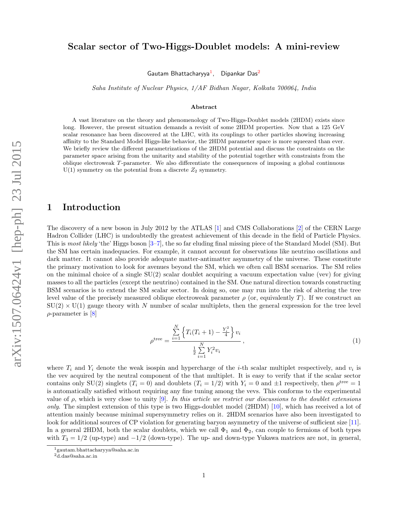# Scalar sector of Two-Higgs-Doublet models: A mini-review

Gautam Bhattacharyya<sup>1</sup>, Dipankar Das<sup>2</sup>

Saha Institute of Nuclear Physics, 1/AF Bidhan Nagar, Kolkata 700064, India

#### Abstract

A vast literature on the theory and phenomenology of Two-Higgs-Doublet models (2HDM) exists since long. However, the present situation demands a revisit of some 2HDM properties. Now that a 125 GeV scalar resonance has been discovered at the LHC, with its couplings to other particles showing increasing affinity to the Standard Model Higgs-like behavior, the 2HDM parameter space is more squeezed than ever. We briefly review the different parametrizations of the 2HDM potential and discuss the constraints on the parameter space arising from the unitarity and stability of the potential together with constraints from the oblique electroweak T-parameter. We also differentiate the consequences of imposing a global continuous  $U(1)$  symmetry on the potential from a discrete  $Z_2$  symmetry.

## 1 Introduction

The discovery of a new boson in July 2012 by the ATLAS [1] and CMS Collaborations [2] of the CERN Large Hadron Collider (LHC) is undoubtedly the greatest achievement of this decade in the field of Particle Physics. This is most likely 'the' Higgs boson [3–7], the so far eluding final missing piece of the Standard Model (SM). But the SM has certain inadequacies. For example, it cannot account for observations like neutrino oscillations and dark matter. It cannot also provide adequate matter-antimatter asymmetry of the universe. These constitute the primary motivation to look for avenues beyond the SM, which we often call BSM scenarios. The SM relies on the minimal choice of a single  $SU(2)$  scalar doublet acquiring a vacuum expectation value (vev) for giving masses to all the particles (except the neutrino) contained in the SM. One natural direction towards constructing BSM scenarios is to extend the SM scalar sector. In doing so, one may run into the risk of altering the tree level value of the precisely measured oblique electroweak parameter  $\rho$  (or, equivalently T). If we construct an  $SU(2) \times U(1)$  gauge theory with N number of scalar multiplets, then the general expression for the tree level  $\rho$ -parameter is [8]

$$
\rho^{\text{tree}} = \frac{\sum_{i=1}^{N} \left\{ T_i(T_i + 1) - \frac{Y_i^2}{4} \right\} v_i}{\frac{1}{2} \sum_{i=1}^{N} Y_i^2 v_i}, \tag{1}
$$

where  $T_i$  and  $Y_i$  denote the weak isospin and hypercharge of the *i*-th scalar multiplet respectively, and  $v_i$  is the vev acquired by the neutral component of the that multiplet. It is easy to verify that if the scalar sector contains only SU(2) singlets  $(T_i = 0)$  and doublets  $(T_i = 1/2)$  with  $Y_i = 0$  and  $\pm 1$  respectively, then  $\rho^{\text{tree}} = 1$ is automatically satisfied without requiring any fine tuning among the vevs. This conforms to the experimental value of  $\rho$ , which is very close to unity [9]. In this article we restrict our discussions to the doublet extensions only. The simplest extension of this type is two Higgs-doublet model (2HDM) [10], which has received a lot of attention mainly because minimal supersymmetry relies on it. 2HDM scenarios have also been investigated to look for additional sources of CP violation for generating baryon asymmetry of the universe of sufficient size [11]. In a general 2HDM, both the scalar doublets, which we call  $\Phi_1$  and  $\Phi_2$ , can couple to fermions of both types with  $T_3 = 1/2$  (up-type) and  $-1/2$  (down-type). The up- and down-type Yukawa matrices are not, in general,

<sup>1</sup>gautam.bhattacharyya@saha.ac.in

 $2d$ .das@saha.ac.in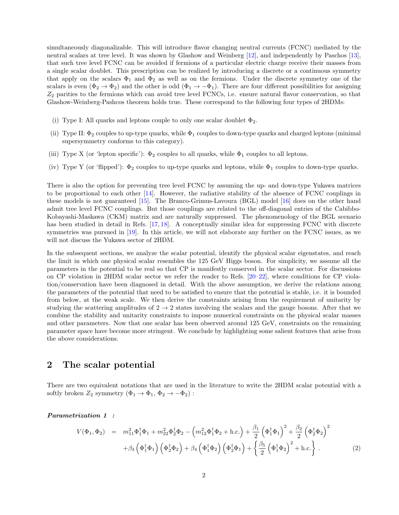simultaneously diagonalizable. This will introduce flavor changing neutral currents (FCNC) mediated by the neutral scalars at tree level. It was shown by Glashow and Weinberg [12], and independently by Paschos [13], that such tree level FCNC can be avoided if fermions of a particular electric charge receive their masses from a single scalar doublet. This prescription can be realized by introducing a discrete or a continuous symmetry that apply on the scalars  $\Phi_1$  and  $\Phi_2$  as well as on the fermions. Under the discrete symmetry one of the scalars is even  $(\Phi_2 \to \Phi_2)$  and the other is odd  $(\Phi_1 \to -\Phi_1)$ . There are four different possibilities for assigning  $Z_2$  parities to the fermions which can avoid tree level FCNCs, i.e. ensure natural flavor conservation, so that Glashow-Weinberg-Pashcos theorem holds true. These correspond to the following four types of 2HDMs:

- (i) Type I: All quarks and leptons couple to only one scalar doublet  $\Phi_2$ .
- (ii) Type II:  $\Phi_2$  couples to up-type quarks, while  $\Phi_1$  couples to down-type quarks and charged leptons (minimal supersymmetry conforms to this category).
- (iii) Type X (or 'lepton specific'):  $\Phi_2$  couples to all quarks, while  $\Phi_1$  couples to all leptons.
- (iv) Type Y (or 'flipped'):  $\Phi_2$  couples to up-type quarks and leptons, while  $\Phi_1$  couples to down-type quarks.

There is also the option for preventing tree level FCNC by assuming the up- and down-type Yukawa matrices to be proportional to each other  $[14]$ . However, the radiative stability of the absence of FCNC couplings in these models is not guaranteed [15]. The Branco-Grimus-Lavoura (BGL) model [16] does on the other hand admit tree level FCNC couplings. But those couplings are related to the off-diagonal entries of the Cabibbo-Kobayashi-Maskawa (CKM) matrix and are naturally suppressed. The phenomenology of the BGL scenario has been studied in detail in Refs. [17, 18]. A conceptually similar idea for suppressing FCNC with discrete symmetries was pursued in [19]. In this article, we will not elaborate any further on the FCNC issues, as we will not discuss the Yukawa sector of 2HDM.

In the subsequent sections, we analyze the scalar potential, identify the physical scalar eigenstates, and reach the limit in which one physical scalar resembles the 125 GeV Higgs boson. For simplicity, we assume all the parameters in the potential to be real so that CP is manifestly conserved in the scalar sector. For discussions on CP violation in 2HDM scalar sector we refer the reader to Refs. [20–22], where conditions for CP violation/conservation have been diagnosed in detail. With the above assumption, we derive the relations among the parameters of the potential that need to be satisfied to ensure that the potential is stable, i.e. it is bounded from below, at the weak scale. We then derive the constraints arising from the requirement of unitarity by studying the scattering amplitudes of  $2 \rightarrow 2$  states involving the scalars and the gauge bosons. After that we combine the stability and unitarity constraints to impose numerical constraints on the physical scalar masses and other parameters. Now that one scalar has been observed around 125 GeV, constraints on the remaining parameter space have become more stringent. We conclude by highlighting some salient features that arise from the above considerations.

# 2 The scalar potential

There are two equivalent notations that are used in the literature to write the 2HDM scalar potential with a softly broken  $Z_2$  symmetry  $(\Phi_1 \to \Phi_1, \Phi_2 \to -\Phi_2)$ :

Parametrization 1 :

$$
V(\Phi_1, \Phi_2) = m_{11}^2 \Phi_1^{\dagger} \Phi_1 + m_{22}^2 \Phi_2^{\dagger} \Phi_2 - \left(m_{12}^2 \Phi_1^{\dagger} \Phi_2 + \text{h.c.}\right) + \frac{\beta_1}{2} \left(\Phi_1^{\dagger} \Phi_1\right)^2 + \frac{\beta_2}{2} \left(\Phi_2^{\dagger} \Phi_2\right)^2 + \beta_3 \left(\Phi_1^{\dagger} \Phi_1\right) \left(\Phi_2^{\dagger} \Phi_2\right) + \beta_4 \left(\Phi_1^{\dagger} \Phi_2\right) \left(\Phi_2^{\dagger} \Phi_1\right) + \left\{\frac{\beta_5}{2} \left(\Phi_1^{\dagger} \Phi_2\right)^2 + \text{h.c.}\right\}.
$$
 (2)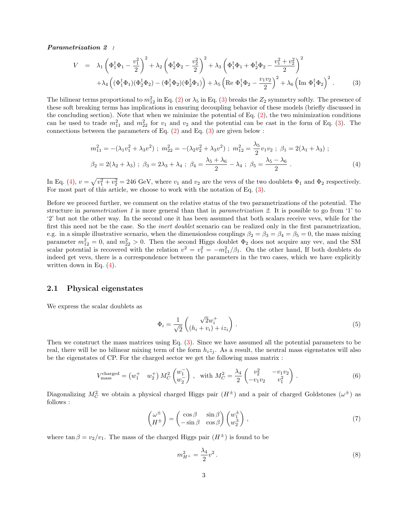Parametrization 2 :

$$
V = \lambda_1 \left( \Phi_1^{\dagger} \Phi_1 - \frac{v_1^2}{2} \right)^2 + \lambda_2 \left( \Phi_2^{\dagger} \Phi_2 - \frac{v_2^2}{2} \right)^2 + \lambda_3 \left( \Phi_1^{\dagger} \Phi_1 + \Phi_2^{\dagger} \Phi_2 - \frac{v_1^2 + v_2^2}{2} \right)^2
$$
  
+ 
$$
\lambda_4 \left( (\Phi_1^{\dagger} \Phi_1)(\Phi_2^{\dagger} \Phi_2) - (\Phi_1^{\dagger} \Phi_2)(\Phi_2^{\dagger} \Phi_1) \right) + \lambda_5 \left( \text{Re } \Phi_1^{\dagger} \Phi_2 - \frac{v_1 v_2}{2} \right)^2 + \lambda_6 \left( \text{Im } \Phi_1^{\dagger} \Phi_2 \right)^2. \tag{3}
$$

The bilinear terms proportional to  $m_{12}^2$  in Eq. (2) or  $\lambda_5$  in Eq. (3) breaks the  $Z_2$  symmetry softly. The presence of these soft breaking terms has implications in ensuring decoupling behavior of these models (briefly discussed in the concluding section). Note that when we minimize the potential of Eq.  $(2)$ , the two minimization conditions can be used to trade  $m_{11}^2$  and  $m_{22}^2$  for  $v_1$  and  $v_2$  and the potential can be cast in the form of Eq. (3). The connections between the parameters of Eq.  $(2)$  and Eq.  $(3)$  are given below :

$$
m_{11}^{2} = -(\lambda_{1}v_{1}^{2} + \lambda_{3}v^{2}); \ m_{22}^{2} = -(\lambda_{2}v_{2}^{2} + \lambda_{3}v^{2}); \ m_{12}^{2} = \frac{\lambda_{5}}{2}v_{1}v_{2}; \ \beta_{1} = 2(\lambda_{1} + \lambda_{3});
$$
  

$$
\beta_{2} = 2(\lambda_{2} + \lambda_{3}); \ \beta_{3} = 2\lambda_{3} + \lambda_{4}; \ \beta_{4} = \frac{\lambda_{5} + \lambda_{6}}{2} - \lambda_{4}; \ \beta_{5} = \frac{\lambda_{5} - \lambda_{6}}{2}.
$$
 (4)

In Eq. (4),  $v = \sqrt{v_1^2 + v_2^2} = 246$  GeV, where  $v_1$  and  $v_2$  are the vevs of the two doublets  $\Phi_1$  and  $\Phi_2$  respectively. For most part of this article, we choose to work with the notation of Eq. (3).

Before we proceed further, we comment on the relative status of the two parametrizations of the potential. The structure in *parametrization* 1 is more general than that in *parametrization* 2. It is possible to go from '1' to '2' but not the other way. In the second one it has been assumed that both scalars receive vevs, while for the first this need not be the case. So the *inert doublet* scenario can be realized only in the first parametrization, e.g. in a simple illustrative scenario, when the dimensionless couplings  $\beta_2 = \beta_3 = \beta_4 = \beta_5 = 0$ , the mass mixing parameter  $m_{12}^2 = 0$ , and  $m_{22}^2 > 0$ . Then the second Higgs doublet  $\Phi_2$  does not acquire any vev, and the SM scalar potential is recovered with the relation  $v^2 = v_1^2 = -m_{11}^2/\beta_1$ . On the other hand, If both doublets do indeed get vevs, there is a correspondence between the parameters in the two cases, which we have explicitly written down in Eq.  $(4)$ .

#### 2.1 Physical eigenstates

We express the scalar doublets as

$$
\Phi_i = \frac{1}{\sqrt{2}} \begin{pmatrix} \sqrt{2}w_i^+ \\ (h_i + v_i) + iz_i \end{pmatrix} . \tag{5}
$$

Then we construct the mass matrices using Eq. (3). Since we have assumed all the potential parameters to be real, there will be no bilinear mixing term of the form  $h_iz_j$ . As a result, the neutral mass eigenstates will also be the eigenstates of CP. For the charged sector we get the following mass matrix :

$$
V_{\text{mass}}^{\text{charged}} = \begin{pmatrix} w_1^+ & w_2^+ \end{pmatrix} M_C^2 \begin{pmatrix} w_1^- \\ w_2^- \end{pmatrix}, \text{ with } M_C^2 = \frac{\lambda_4}{2} \begin{pmatrix} v_2^2 & -v_1 v_2 \\ -v_1 v_2 & v_1^2 \end{pmatrix}. \tag{6}
$$

Diagonalizing  $M_C^2$  we obtain a physical charged Higgs pair  $(H^{\pm})$  and a pair of charged Goldstones  $(\omega^{\pm})$  as follows :

$$
\begin{pmatrix} \omega^{\pm} \\ H^{\pm} \end{pmatrix} = \begin{pmatrix} \cos \beta & \sin \beta \\ -\sin \beta & \cos \beta \end{pmatrix} \begin{pmatrix} w_1^{\pm} \\ w_2^{\pm} \end{pmatrix}, \tag{7}
$$

where  $\tan \beta = v_2/v_1$ . The mass of the charged Higgs pair  $(H^{\pm})$  is found to be

$$
m_{H^{+}}^{2} = \frac{\lambda_{4}}{2}v^{2}.
$$
\n(8)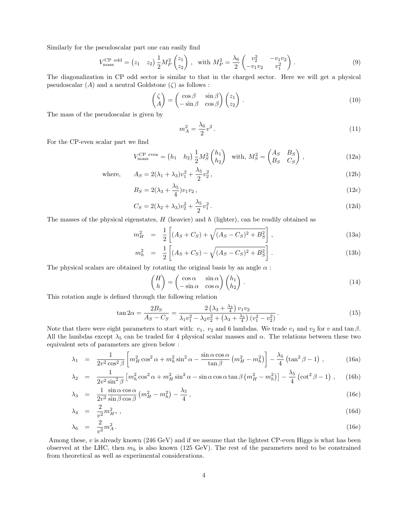Similarly for the pseudoscalar part one can easily find

$$
V_{\text{mass}}^{\text{CP odd}} = (z_1 \quad z_2) \frac{1}{2} M_P^2 \begin{pmatrix} z_1 \\ z_2 \end{pmatrix}, \quad \text{with } M_P^2 = \frac{\lambda_6}{2} \begin{pmatrix} v_2^2 & -v_1 v_2 \\ -v_1 v_2 & v_1^2 \end{pmatrix}.
$$
 (9)

The diagonalization in CP odd sector is similar to that in the charged sector. Here we will get a physical pseudoscalar  $(A)$  and a neutral Goldstone  $(\zeta)$  as follows :

$$
\begin{pmatrix} \zeta \\ A \end{pmatrix} = \begin{pmatrix} \cos \beta & \sin \beta \\ -\sin \beta & \cos \beta \end{pmatrix} \begin{pmatrix} z_1 \\ z_2 \end{pmatrix} . \tag{10}
$$

The mass of the pseudoscalar is given by

$$
m_A^2 = \frac{\lambda_6}{2}v^2. \tag{11}
$$

 $(12b)$ 

For the CP-even scalar part we find

$$
V_{\text{mass}}^{\text{CP even}} = (h_1 \quad h_2) \frac{1}{2} M_S^2 {h_1 \choose h_2} \quad \text{with, } M_S^2 = \begin{pmatrix} A_S & B_S \\ B_S & C_S \end{pmatrix}, \tag{12a}
$$

where, 
$$
A_S = 2(\lambda_1 + \lambda_3)v_1^2 + \frac{\lambda_5}{2}v_2^2
$$
,

$$
B_S = 2(\lambda_3 + \frac{\lambda_5}{4})v_1v_2, \qquad (12c)
$$

$$
C_S = 2(\lambda_2 + \lambda_3)v_2^2 + \frac{\lambda_5}{2}v_1^2.
$$
\n(12d)

The masses of the physical eigenstates,  $H$  (heavier) and  $h$  (lighter), can be readily obtained as

$$
m_H^2 = \frac{1}{2} \left[ (A_S + C_S) + \sqrt{(A_S - C_S)^2 + B_S^2} \right],
$$
\n(13a)

$$
m_h^2 = \frac{1}{2} \left[ (A_S + C_S) - \sqrt{(A_S - C_S)^2 + B_S^2} \right].
$$
 (13b)

The physical scalars are obtained by rotating the original basis by an angle  $\alpha$ :

$$
\begin{pmatrix} H \\ h \end{pmatrix} = \begin{pmatrix} \cos \alpha & \sin \alpha \\ -\sin \alpha & \cos \alpha \end{pmatrix} \begin{pmatrix} h_1 \\ h_2 \end{pmatrix} . \tag{14}
$$

This rotation angle is defined through the following relation

$$
\tan 2\alpha = \frac{2B_S}{A_S - C_S} = \frac{2\left(\lambda_3 + \frac{\lambda_5}{4}\right)v_1v_2}{\lambda_1v_1^2 - \lambda_2v_2^2 + \left(\lambda_3 + \frac{\lambda_5}{4}\right)(v_1^2 - v_2^2)}.
$$
\n(15)

Note that there were eight parameters to start with:  $v_1$ ,  $v_2$  and 6 lambdas. We trade  $v_1$  and  $v_2$  for v and tan  $\beta$ . All the lambdas except  $\lambda_5$  can be traded for 4 physical scalar masses and  $\alpha$ . The relations between these two equivalent sets of parameters are given below :

$$
\lambda_1 = \frac{1}{2v^2 \cos^2 \beta} \left[ m_H^2 \cos^2 \alpha + m_h^2 \sin^2 \alpha - \frac{\sin \alpha \cos \alpha}{\tan \beta} \left( m_H^2 - m_h^2 \right) \right] - \frac{\lambda_5}{4} \left( \tan^2 \beta - 1 \right) ,\tag{16a}
$$

$$
\lambda_2 = \frac{1}{2v^2 \sin^2 \beta} \left[ m_h^2 \cos^2 \alpha + m_H^2 \sin^2 \alpha - \sin \alpha \cos \alpha \tan \beta \left( m_H^2 - m_h^2 \right) \right] - \frac{\lambda_5}{4} \left( \cot^2 \beta - 1 \right) , \quad (16b)
$$

$$
\lambda_3 = \frac{1}{2v^2} \frac{\sin \alpha \cos \alpha}{\sin \beta \cos \beta} \left( m_H^2 - m_h^2 \right) - \frac{\lambda_5}{4}, \qquad (16c)
$$

$$
\lambda_4 = \frac{2}{v^2} m_{H^+}^2, \tag{16d}
$$

$$
\lambda_6 = \frac{2}{v^2} m_A^2 \,. \tag{16e}
$$

Among these,  $v$  is already known (246 GeV) and if we assume that the lightest CP-even Higgs is what has been observed at the LHC, then  $m_h$  is also known (125 GeV). The rest of the parameters need to be constrained from theoretical as well as experimental considerations.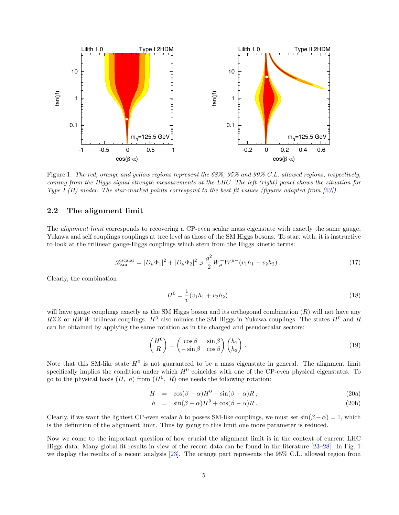

Figure 1: The red, orange and yellow regions represent the 68%, 95% and 99% C.L. allowed regions, respectively, coming from the Higgs signal strength measurements at the LHC. The left (right) panel shows the situation for Type I (II) model. The star-marked points correspond to the best fit values (figures adapted from  $[23]$ ).

#### 2.2 The alignment limit

The *alignment limit* corresponds to recovering a CP-even scalar mass eigenstate with exactly the same gauge, Yukawa and self couplings couplings at tree level as those of the SM Higgs bosons. To start with, it is instructive to look at the trilinear gauge-Higgs couplings which stem from the Higgs kinetic terms:

$$
\mathcal{L}_{\text{kin}}^{\text{scalar}} = |D_{\mu} \Phi_1|^2 + |D_{\mu} \Phi_2|^2 \ni \frac{g^2}{2} W^+_{\mu} W^{\mu-} (v_1 h_1 + v_2 h_2).
$$
 (17)

Clearly, the combination

$$
H^{0} = \frac{1}{v}(v_{1}h_{1} + v_{2}h_{2})
$$
\n(18)

will have gauge couplings exactly as the SM Higgs boson and its orthogonal combination  $(R)$  will not have any RZZ or RWW trilinear couplings.  $H^0$  also mimics the SM Higgs in Yukawa couplings. The states  $H^0$  and R can be obtained by applying the same rotation as in the charged and pseudoscalar sectors:

$$
\begin{pmatrix} H^0 \\ R \end{pmatrix} = \begin{pmatrix} \cos \beta & \sin \beta \\ -\sin \beta & \cos \beta \end{pmatrix} \begin{pmatrix} h_1 \\ h_2 \end{pmatrix} . \tag{19}
$$

Note that this SM-like state  $H^0$  is not guaranteed to be a mass eigenstate in general. The alignment limit specifically implies the condition under which  $H^0$  coincides with one of the CP-even physical eigenstates. To go to the physical basis  $(H, h)$  from  $(H^0, R)$  one needs the following rotation:

$$
H = \cos(\beta - \alpha)H^0 - \sin(\beta - \alpha)R, \qquad (20a)
$$

$$
h = \sin(\beta - \alpha)H^0 + \cos(\beta - \alpha)R. \tag{20b}
$$

Clearly, if we want the lightest CP-even scalar h to posses SM-like couplings, we must set  $sin(\beta - \alpha) = 1$ , which is the definition of the alignment limit. Thus by going to this limit one more parameter is reduced.

Now we come to the important question of how crucial the alignment limit is in the context of current LHC Higgs data. Many global fit results in view of the recent data can be found in the literature [23–28]. In Fig. 1 we display the results of a recent analysis [23]. The orange part represents the 95% C.L. allowed region from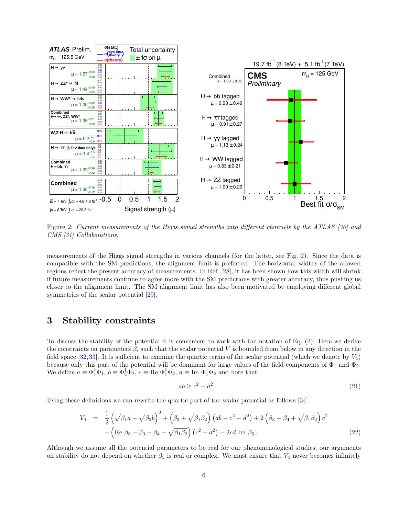

Figure 2: Current measurements of the Higgs signal strengths into different channels by the ATLAS [30] and CMS [31] Collaborations.

measurements of the Higgs signal strengths in various channels (for the latter, see Fig. 2). Since the data is compatible with the SM predictions, the alignment limit is preferred. The horizontal widths of the allowed regions reflect the present accuracy of measurements. In Ref. [28], it has been shown how this width will shrink if future measurements continue to agree more with the SM predictions with greater accuracy, thus pushing us closer to the alignment limit. The SM alignment limit has also been motivated by employing different global symmetries of the scalar potential  $[29]$ .

# 3 Stability constraints

To discuss the stability of the potential it is convenient to work with the notation of Eq. (2). Here we derive the constraints on parameters  $\beta_i$  such that the scalar potential V is bounded from below in any direction in the field space [32,33]. It is sufficient to examine the quartic terms of the scalar potential (which we denote by  $V_4$ ) because only this part of the potential will be dominant for large values of the field components of  $\Phi_1$  and  $\Phi_2$ . We define  $a \equiv \Phi_1^{\dagger} \Phi_1$ ,  $b \equiv \Phi_2^{\dagger} \Phi_2$ ,  $c \equiv \text{Re } \Phi_1^{\dagger} \Phi_2$ ,  $d \equiv \text{Im } \Phi_1^{\dagger} \Phi_2$  and note that

$$
ab \ge c^2 + d^2. \tag{21}
$$

Using these definitions we can rewrite the quartic part of the scalar potential as follows [34]:

$$
V_4 = \frac{1}{2} \left( \sqrt{\beta_1} a - \sqrt{\beta_2} b \right)^2 + \left( \beta_3 + \sqrt{\beta_1 \beta_2} \right) \left( ab - c^2 - d^2 \right) + 2 \left( \beta_3 + \beta_4 + \sqrt{\beta_1 \beta_2} \right) c^2 + \left( \text{Re } \beta_5 - \beta_3 - \beta_4 - \sqrt{\beta_1 \beta_2} \right) \left( c^2 - d^2 \right) - 2cd \text{ Im } \beta_5 \,. \tag{22}
$$

Although we assume all the potential parameters to be real for our phenomenological studies, our arguments on stability do not depend on whether  $\beta_5$  is real or complex. We must ensure that  $V_4$  never becomes infinitely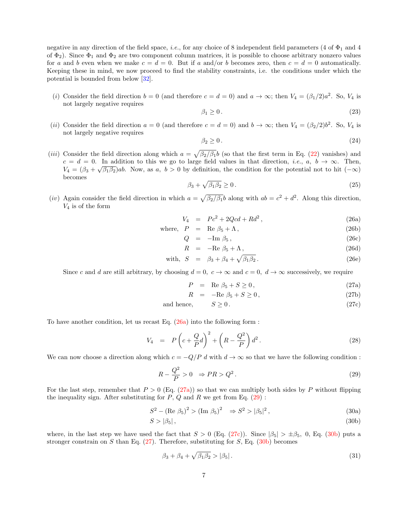negative in any direction of the field space, *i.e.*, for any choice of 8 independent field parameters (4 of  $\Phi_1$  and 4 of  $\Phi_2$ ). Since  $\Phi_1$  and  $\Phi_2$  are two component column matrices, it is possible to choose arbitrary nonzero values for a and b even when we make  $c = d = 0$ . But if a and/or b becomes zero, then  $c = d = 0$  automatically. Keeping these in mind, we now proceed to find the stability constraints, i.e. the conditions under which the potential is bounded from below [32].

(i) Consider the field direction  $b = 0$  (and therefore  $c = d = 0$ ) and  $a \to \infty$ ; then  $V_4 = (\beta_1/2)a^2$ . So,  $V_4$  is not largely negative requires

$$
\beta_1 \ge 0. \tag{23}
$$

(*ii*) Consider the field direction  $a = 0$  (and therefore  $c = d = 0$ ) and  $b \to \infty$ ; then  $V_4 = (\beta_2/2)b^2$ . So,  $V_4$  is not largely negative requires

$$
\beta_2 \ge 0. \tag{24}
$$

(*iii*) Consider the field direction along which  $a = \sqrt{\beta_2/\beta_1}b$  (so that the first term in Eq. (22) vanishes) and  $c = d = 0$ . In addition to this we go to large field values in that direction, *i.e.*,  $a, b \rightarrow \infty$ . Then,  $V_4 = (\beta_3 + \sqrt{\beta_1 \beta_2})ab$ . Now, as a,  $b > 0$  by definition, the condition for the potential not to hit  $(-\infty)$ becomes

$$
\beta_3 + \sqrt{\beta_1 \beta_2} \ge 0. \tag{25}
$$

(iv) Again consider the field direction in which  $a = \sqrt{\beta_2/\beta_1}b$  along with  $ab = c^2 + d^2$ . Along this direction,  $V_4$  is of the form

$$
V_4 = P c^2 + 2Qcd + Rd^2, \qquad (26a)
$$

where, 
$$
P = \text{Re } \beta_5 + \Lambda
$$
, (26b)

$$
Q = -\text{Im}\,\beta_5,\tag{26c}
$$

$$
R = -\text{Re }\beta_5 + \Lambda \,,\tag{26d}
$$

with, 
$$
S = \beta_3 + \beta_4 + \sqrt{\beta_1 \beta_2}
$$
. (26e)

Since c and d are still arbitrary, by choosing  $d = 0$ ,  $c \to \infty$  and  $c = 0$ ,  $d \to \infty$  successively, we require

$$
P = \text{Re } \beta_5 + S \ge 0, \tag{27a}
$$

$$
R = -\text{Re }\beta_5 + S \ge 0,\tag{27b}
$$

and hence, 
$$
S \ge 0
$$
. (27c)

To have another condition, let us recast Eq. (26a) into the following form :

$$
V_4 = P\left(c + \frac{Q}{P}d\right)^2 + \left(R - \frac{Q^2}{P}\right)d^2.
$$
\n
$$
(28)
$$

We can now choose a direction along which  $c = -Q/P d$  with  $d \to \infty$  so that we have the following condition :

$$
R - \frac{Q^2}{P} > 0 \Rightarrow PR > Q^2. \tag{29}
$$

For the last step, remember that  $P > 0$  (Eq. (27a)) so that we can multiply both sides by P without flipping the inequality sign. After substituting for  $P$ ,  $Q$  and  $R$  we get from Eq. (29):

$$
S^{2} - (\text{Re } \beta_{5})^{2} > (\text{Im } \beta_{5})^{2} \Rightarrow S^{2} > |\beta_{5}|^{2}, \tag{30a}
$$

$$
S > |\beta_5|,\tag{30b}
$$

where, in the last step we have used the fact that  $S > 0$  (Eq. (27c)). Since  $|\beta_5| > \pm \beta_5$ , 0, Eq. (30b) puts a stronger constrain on S than Eq.  $(27)$ . Therefore, substituting for S, Eq.  $(30b)$  becomes

$$
\beta_3 + \beta_4 + \sqrt{\beta_1 \beta_2} > |\beta_5| \,. \tag{31}
$$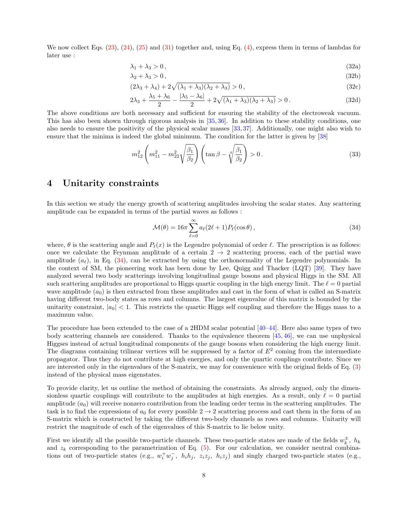We now collect Eqs. (23), (24), (25) and (31) together and, using Eq. (4), express them in terms of lambdas for later use :

$$
\lambda_1 + \lambda_3 > 0, \tag{32a}
$$

$$
\lambda_2 + \lambda_3 > 0, \tag{32b}
$$

$$
(2\lambda_3 + \lambda_4) + 2\sqrt{(\lambda_1 + \lambda_3)(\lambda_2 + \lambda_3)} > 0,
$$
\n
$$
(32c)
$$

$$
2\lambda_3 + \frac{\lambda_5 + \lambda_6}{2} - \frac{|\lambda_5 - \lambda_6|}{2} + 2\sqrt{(\lambda_1 + \lambda_3)(\lambda_2 + \lambda_3)} > 0. \tag{32d}
$$

The above conditions are both necessary and sufficient for ensuring the stability of the electroweak vacuum. This has also been shown through rigorous analysis in [35, 36]. In addition to these stability conditions, one also needs to ensure the positivity of the physical scalar masses [33, 37]. Additionally, one might also wish to ensure that the minima is indeed the global minimum. The condition for the latter is given by [38]

$$
m_{12}^2 \left( m_{11}^2 - m_{22}^2 \sqrt{\frac{\beta_1}{\beta_2}} \right) \left( \tan \beta - \sqrt[4]{\frac{\beta_1}{\beta_2}} \right) > 0. \tag{33}
$$

## 4 Unitarity constraints

In this section we study the energy growth of scattering amplitudes involving the scalar states. Any scattering amplitude can be expanded in terms of the partial waves as follows :

$$
\mathcal{M}(\theta) = 16\pi \sum_{\ell=0}^{\infty} a_{\ell} (2\ell+1) P_{\ell}(\cos\theta), \qquad (34)
$$

where,  $\theta$  is the scattering angle and  $P_{\ell}(x)$  is the Legendre polynomial of order  $\ell$ . The prescription is as follows: once we calculate the Feynman amplitude of a certain  $2 \rightarrow 2$  scattering process, each of the partial wave amplitude  $(a_{\ell})$ , in Eq. (34), can be extracted by using the orthonormality of the Legendre polynomials. In the context of SM, the pioneering work has been done by Lee, Quigg and Thacker (LQT) [39]. They have analyzed several two body scatterings involving longitudinal gauge bosons and physical Higgs in the SM. All such scattering amplitudes are proportional to Higgs quartic coupling in the high energy limit. The  $\ell = 0$  partial wave amplitude  $(a_0)$  is then extracted from these amplitudes and cast in the form of what is called an S-matrix having different two-body states as rows and columns. The largest eigenvalue of this matrix is bounded by the unitarity constraint,  $|a_0| < 1$ . This restricts the quartic Higgs self coupling and therefore the Higgs mass to a maximum value.

The procedure has been extended to the case of a 2HDM scalar potential [40–44]. Here also same types of two body scattering channels are considered. Thanks to the equivalence theorem [45, 46], we can use unphysical Higgses instead of actual longitudinal components of the gauge bosons when considering the high energy limit. The diagrams containing trilinear vertices will be suppressed by a factor of  $E<sup>2</sup>$  coming from the intermediate propagator. Thus they do not contribute at high energies, and only the quartic couplings contribute. Since we are interested only in the eigenvalues of the S-matrix, we may for convenience with the original fields of Eq. (3) instead of the physical mass eigenstates.

To provide clarity, let us outline the method of obtaining the constraints. As already argued, only the dimensionless quartic couplings will contribute to the amplitudes at high energies. As a result, only  $\ell = 0$  partial amplitude  $(a_0)$  will receive nonzero contribution from the leading order terms in the scattering amplitudes. The task is to find the expressions of  $a_0$  for every possible  $2 \rightarrow 2$  scattering process and cast them in the form of an S-matrix which is constructed by taking the different two-body channels as rows and columns. Unitarity will restrict the magnitude of each of the eigenvalues of this S-matrix to lie below unity.

First we identify all the possible two-particle channels. These two-particle states are made of the fields  $w_k^{\pm}$ ,  $h_k$ and  $z_k$  corresponding to the parametrization of Eq. (5). For our calculation, we consider neutral combinations out of two-particle states (e.g.,  $w_i^+ w_j^-$ ,  $h_i h_j$ ,  $z_i z_j$ ,  $h_i z_j$ ) and singly charged two-particle states (e.g.,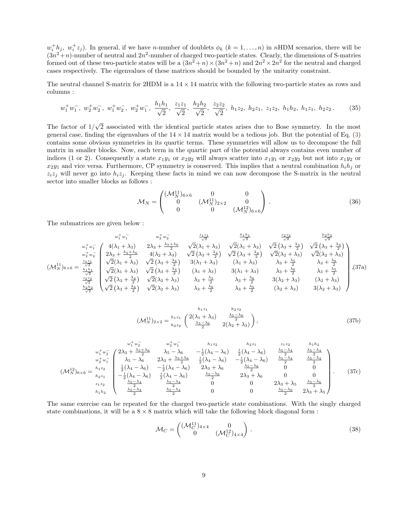$w_i^h_j$ ,  $w_i^+z_j$ ). In general, if we have *n*-number of doublets  $\phi_k$  ( $k=1,\ldots,n$ ) in nHDM scenarios, there will be  $(3n^2+n)$ -number of neutral and  $2n^2$ -number of charged two-particle states. Clearly, the dimensions of S-matries formed out of these two-particle states will be a  $(3n^2 + n) \times (3n^2 + n)$  and  $2n^2 \times 2n^2$  for the neutral and charged cases respectively. The eigenvalues of these matrices should be bounded by the unitarity constraint.

The neutral channel S-matrix for 2HDM is a  $14 \times 14$  matrix with the following two-particle states as rows and columns :

$$
w_1^+ w_1^-, w_2^+ w_2^-, w_1^+ w_2^-, w_2^+ w_1^-, \frac{h_1 h_1}{\sqrt{2}}, \frac{z_1 z_1}{\sqrt{2}}, \frac{h_2 h_2}{\sqrt{2}}, \frac{z_2 z_2}{\sqrt{2}}, h_1 z_2, h_2 z_1, z_1 z_2, h_1 h_2, h_1 z_1, h_2 z_2. \tag{35}
$$

The factor of  $1/\sqrt{2}$  associated with the identical particle states arises due to Bose symmetry. In the most general case, finding the eigenvalues of the  $14 \times 14$  matrix would be a tedious job. But the potential of Eq. (3) contains some obvious symmetries in its quartic terms. These symmetries will allow us to decompose the full matrix in smaller blocks. Now, each term in the quartic part of the potential always contains even number of indices (1 or 2). Consequently a state  $x_1y_1$  or  $x_2y_2$  will always scatter into  $x_1y_1$  or  $x_2y_2$  but not into  $x_1y_2$  or  $x_2y_1$  and vice versa. Furthermore, CP symmetry is conserved. This implies that a neutral combination  $h_i h_j$  or  $z_iz_j$  will never go into  $h_iz_j$ . Keeping these facts in mind we can now decompose the S-matrix in the neutral sector into smaller blocks as follows :

$$
\mathcal{M}_N = \begin{pmatrix}\n(\mathcal{M}_N^{11})_{6 \times 6} & 0 & 0 \\
0 & (\mathcal{M}_N^{11})_{2 \times 2} & 0 \\
0 & 0 & (\mathcal{M}_N^{12})_{6 \times 6}\n\end{pmatrix}.
$$
\n(36)

The submatrices are given below :

$$
w_1^+ w_1^-
$$
\n
$$
w_2^+ w_1^-
$$
\n
$$
w_1^+ w_1^-
$$
\n
$$
w_1^+ w_1^-
$$
\n
$$
w_1^+ w_1^-
$$
\n
$$
w_1^+ w_1^-
$$
\n
$$
w_1^+ w_1^-
$$
\n
$$
w_2^+ w_2^-
$$
\n
$$
w_2^+ w_2^-
$$
\n
$$
2\lambda_3 + \frac{\lambda_5 + \lambda_6}{2} \quad \sqrt{2}(\lambda_1 + \lambda_3) \quad \sqrt{2}(\lambda_1 + \lambda_3) \quad \sqrt{2}(\lambda_1 + \lambda_3) \quad \sqrt{2}(\lambda_3 + \frac{\lambda_4}{2}) \quad \sqrt{2}(\lambda_3 + \frac{\lambda_4}{2})
$$
\n
$$
w_2^+ w_2^-
$$
\n
$$
2\lambda_3 + \frac{\lambda_5 + \lambda_6}{2} \quad 4(\lambda_2 + \lambda_3) \quad \sqrt{2}(\lambda_3 + \frac{\lambda_4}{2}) \quad \sqrt{2}(\lambda_3 + \frac{\lambda_4}{2}) \quad \sqrt{2}(\lambda_3 + \frac{\lambda_4}{2}) \quad \sqrt{2}(\lambda_2 + \lambda_3) \quad \sqrt{2}(\lambda_2 + \lambda_3)
$$
\n
$$
(\lambda_1 + \lambda_3) \quad \lambda_3 + \frac{\lambda_5}{2} \quad \lambda_3 + \frac{\lambda_6}{2}
$$
\n
$$
2\lambda_3 + \frac{\lambda_5}{2} \quad \sqrt{2}(\lambda_1 + \lambda_3) \quad \sqrt{2}(\lambda_3 + \frac{\lambda_4}{2}) \quad 3(\lambda_1 + \lambda_3) \quad \lambda_1 + \lambda_3 \quad \lambda_3 + \frac{\lambda_5}{2} \quad \lambda_3 + \frac{\lambda_6}{2}
$$
\n
$$
\frac{22}{2} \quad \sqrt{2}(\lambda_1 + \lambda_3) \quad \sqrt{2}(\lambda_2 + \lambda_3) \quad \lambda_3 + \frac{\lambda_5}{2} \quad \lambda_3 + \frac{\lambda_6}{2} \quad \lambda_3 + \frac{\lambda_5}{2}
$$
\n
$$
\frac{22}{\sqrt{2}} \quad \sqrt{2}(\lambda_3 + \frac{\lambda_4}{2}) \quad \sqrt{2}
$$

$$
(\mathcal{M}_N^{11})_{2\times 2} = \frac{h_1 z_1}{h_2 z_2} \begin{pmatrix} 2(\lambda_1 + \lambda_3) & \frac{\lambda_5 - \lambda_6}{2} \\ \frac{\lambda_5 - \lambda_6}{2} & 2(\lambda_2 + \lambda_3) \end{pmatrix},
$$
(37b)

$$
(M_N^{12})_{6\times6} = \begin{matrix} w_1^+ w_2^- & w_2^+ w_1^- & h_1 z_2 & h_2 z_1 & z_1 z_2 & h_1 h_2 \\ w_1^+ w_2^- & 2\lambda_3 + \frac{\lambda_5 + \lambda_6}{2} & \lambda_5 - \lambda_6 & -\frac{i}{2}(\lambda_4 - \lambda_6) & \frac{i}{2}(\lambda_4 - \lambda_6) & \frac{\lambda_5 - \lambda_4}{2} & \frac{\lambda_5 - \lambda_4}{2} \\ w_2^+ w_1^- & \lambda_5 - \lambda_6 & 2\lambda_3 + \frac{\lambda_5 + \lambda_6}{2} & \frac{i}{2}(\lambda_4 - \lambda_6) & -\frac{i}{2}(\lambda_4 - \lambda_6) & \frac{\lambda_5 - \lambda_4}{2} & \frac{\lambda_5 - \lambda_4}{2} \\ \frac{i}{2}(\lambda_4 - \lambda_6) & -\frac{i}{2}(\lambda_4 - \lambda_6) & 2\lambda_3 + \lambda_6 & \frac{\lambda_5 - \lambda_6}{2} & 0 & 0 \\ -\frac{i}{2}(\lambda_4 - \lambda_6) & \frac{i}{2}(\lambda_4 - \lambda_6) & \frac{\lambda_5 - \lambda_6}{2} & 2\lambda_3 + \lambda_6 & 0 & 0 \\ -\frac{i}{2}(\lambda_4 - \lambda_6) & \frac{i}{2}(\lambda_4 - \lambda_6) & \frac{\lambda_5 - \lambda_6}{2} & 2\lambda_3 + \lambda_6 & 0 & 0 \\ z_1 z_2 & \frac{\lambda_5 - \lambda_4}{2} & \frac{\lambda_5 - \lambda_4}{2} & 0 & 0 & 2\lambda_3 + \lambda_5 & \frac{\lambda_5 - \lambda_6}{2} \\ \frac{\lambda_5 - \lambda_4}{2} & \frac{\lambda_5 - \lambda_4}{2} & 0 & 0 & \frac{\lambda_5 - \lambda_6}{2} & 2\lambda_3 + \lambda_5 \end{matrix}.
$$
 (37c)

The same exercise can be repeated for the charged two-particle state combinations. With the singly charged state combinations, it will be a  $8 \times 8$  matrix which will take the following block diagonal form :

$$
\mathcal{M}_C = \begin{pmatrix} (\mathcal{M}_C^{11})_{4 \times 4} & 0\\ 0 & (\mathcal{M}_C^{12})_{4 \times 4} \end{pmatrix} . \tag{38}
$$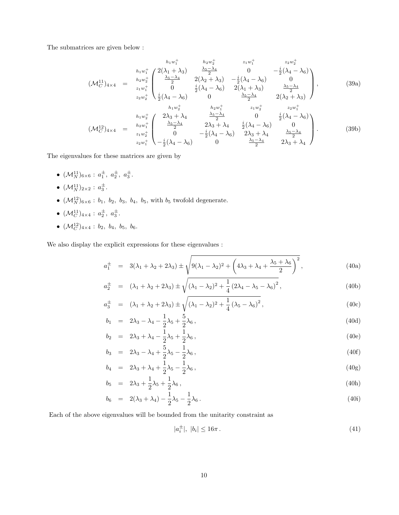The submatrices are given below :

$$
(\mathcal{M}_{C}^{11})_{4\times4} = \begin{array}{c} h_{1}w_{1}^{+} & h_{2}w_{2}^{+} & z_{1}w_{1}^{+} & z_{2}w_{2}^{+} \\ h_{1}w_{1}^{+} & 2(\lambda_{1}+\lambda_{3}) & \frac{\lambda_{5}-\lambda_{4}}{2} & 0 & -\frac{i}{2}(\lambda_{4}-\lambda_{6}) \\ z_{1}w_{1}^{+} & 0 & \frac{i}{2}(\lambda_{4}-\lambda_{6}) & 0 \\ z_{2}w_{2}^{+} & 0 & \frac{i}{2}(\lambda_{4}-\lambda_{6}) & 2(\lambda_{1}+\lambda_{3}) & \frac{\lambda_{5}-\lambda_{4}}{2} \\ \frac{i}{2}(\lambda_{4}-\lambda_{6}) & 0 & \frac{\lambda_{5}-\lambda_{4}}{2} & 2(\lambda_{2}+\lambda_{3}) \end{array}, \qquad (39a)
$$
\n
$$
h_{1}w_{2}^{+} & h_{2}w_{1}^{+} & z_{1}w_{2}^{+} & z_{2}w_{1}^{+} \\ (M_{C}^{12})_{4\times4} = \begin{array}{c} h_{1}w_{2}^{+} & 2\lambda_{3}+\lambda_{4} & \frac{\lambda_{5}-\lambda_{4}}{2} & 0 & \frac{i}{2}(\lambda_{4}-\lambda_{6}) \\ z_{1}w_{2}^{+} & 2\lambda_{3}+\lambda_{4} & \frac{\lambda_{5}-\lambda_{4}}{2} & 0 & \frac{i}{2}(\lambda_{4}-\lambda_{6}) \\ z_{2}w_{1}^{+} & 0 & -\frac{i}{2}(\lambda_{4}-\lambda_{6}) & 2\lambda_{3}+\lambda_{4} & \frac{\lambda_{5}-\lambda_{4}}{2} \\ z_{2}w_{1}^{+} & -\frac{i}{2}(\lambda_{4}-\lambda_{6}) & 0 & \frac{\lambda_{5}-\lambda_{4}}{2} & 2\lambda_{3}+\lambda_{4} \end{array} \qquad (39b)
$$

The eigenvalues for these matrices are given by

- $({\cal M}_N^{11})_{6\times 6}: a_1^{\pm}, a_2^{\pm}, a_3^{\pm}.$
- $({\cal M}^{11}_N)_{2\times 2}: a_3^\pm.$
- $(\mathcal{M}_N^{12})_{6\times6}$ :  $b_1$ ,  $b_2$ ,  $b_3$ ,  $b_4$ ,  $b_5$ , with  $b_5$  twofold degenerate.
- $(\mathcal{M}_C^{11})_{4\times4}: a_2^{\pm}, a_3^{\pm}.$
- $(\mathcal{M}_C^{12})_{4\times4}$  :  $b_2$ ,  $b_4$ ,  $b_5$ ,  $b_6$ .

We also display the explicit expressions for these eigenvalues :

$$
a_1^{\pm} = 3(\lambda_1 + \lambda_2 + 2\lambda_3) \pm \sqrt{9(\lambda_1 - \lambda_2)^2 + \left(4\lambda_3 + \lambda_4 + \frac{\lambda_5 + \lambda_6}{2}\right)^2},
$$
\n(40a)

$$
a_2^{\pm} = (\lambda_1 + \lambda_2 + 2\lambda_3) \pm \sqrt{(\lambda_1 - \lambda_2)^2 + \frac{1}{4} (2\lambda_4 - \lambda_5 - \lambda_6)^2},
$$
\n(40b)

$$
a_3^{\pm} = (\lambda_1 + \lambda_2 + 2\lambda_3) \pm \sqrt{(\lambda_1 - \lambda_2)^2 + \frac{1}{4} (\lambda_5 - \lambda_6)^2},
$$
\n(40c)

$$
b_1 = 2\lambda_3 - \lambda_4 - \frac{1}{2}\lambda_5 + \frac{5}{2}\lambda_6, \qquad (40d)
$$

$$
b_2 = 2\lambda_3 + \lambda_4 - \frac{1}{2}\lambda_5 + \frac{1}{2}\lambda_6, \qquad (40e)
$$

$$
b_3 = 2\lambda_3 - \lambda_4 + \frac{5}{2}\lambda_5 - \frac{1}{2}\lambda_6, \qquad (40f)
$$

$$
b_4 = 2\lambda_3 + \lambda_4 + \frac{1}{2}\lambda_5 - \frac{1}{2}\lambda_6, \tag{40g}
$$

$$
b_5 = 2\lambda_3 + \frac{1}{2}\lambda_5 + \frac{1}{2}\lambda_6, \tag{40h}
$$

$$
b_6 = 2(\lambda_3 + \lambda_4) - \frac{1}{2}\lambda_5 - \frac{1}{2}\lambda_6.
$$
\n(40i)

Each of the above eigenvalues will be bounded from the unitarity constraint as

$$
|a_i^{\pm}|, |b_i| \le 16\pi. \tag{41}
$$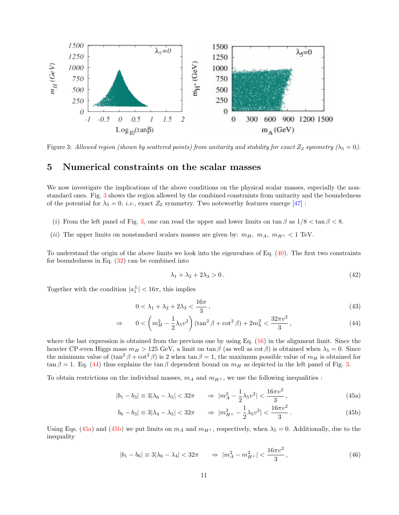

Figure 3: Allowed region (shown by scattered points) from unitarity and stability for exact  $Z_2$  symmetry ( $\lambda_5 = 0$ ).

## 5 Numerical constraints on the scalar masses

We now investigate the implications of the above conditions on the physical scalar masses, especially the nonstandard ones. Fig. 3 shows the region allowed by the combined constraints from unitarity and the boundedness of the potential for  $\lambda_5 = 0$ , *i.e.*, exact  $Z_2$  symmetry. Two noteworthy features emerge [47] :

- (i) From the left panel of Fig. 3, one can read the upper and lower limits on tan  $\beta$  as  $1/8 < \tan \beta < 8$ .
- (ii) The upper limits on nonstandard scalars masses are given by:  $m_H$ ,  $m_A$ ,  $m_{H^+}$  < 1 TeV.

To understand the origin of the above limits we look into the eigenvalues of Eq. (40). The first two constraints for boundedness in Eq.  $(32)$  can be combined into

$$
\lambda_1 + \lambda_2 + 2\lambda_3 > 0. \tag{42}
$$

Together with the condition  $|a_1^{\pm}| < 16\pi$ , this implies

$$
0 < \lambda_1 + \lambda_2 + 2\lambda_3 < \frac{16\pi}{3},\tag{43}
$$

$$
\Rightarrow \qquad 0 < \left( m_H^2 - \frac{1}{2} \lambda_5 v^2 \right) (\tan^2 \beta + \cot^2 \beta) + 2m_h^2 < \frac{32\pi v^2}{3}, \tag{44}
$$

where the last expression is obtained from the previous one by using Eq. (16) in the alignment limit. Since the heavier CP-even Higgs mass  $m_H > 125$  GeV, a limit on tan  $\beta$  (as well as cot  $\beta$ ) is obtained when  $\lambda_5 = 0$ . Since the minimum value of  $(\tan^2 \beta + \cot^2 \beta)$  is 2 when  $\tan \beta = 1$ , the maximum possible value of  $m_H$  is obtained for  $\tan \beta = 1$ . Eq. (44) thus explains the  $\tan \beta$  dependent bound on  $m_H$  as depicted in the left panel of Fig. 3.

To obtain restrictions on the individual masses,  $m_A$  and  $m_{H+}$ , we use the following inequalities :

$$
|b_1 - b_3| \equiv 3|\lambda_6 - \lambda_5| < 32\pi \qquad \Rightarrow \ |m_A^2 - \frac{1}{2}\lambda_5 v^2| < \frac{16\pi v^2}{3},\tag{45a}
$$

$$
b_6 - b_3| \equiv 3|\lambda_4 - \lambda_5| < 32\pi \qquad \Rightarrow \ |m_{H^+}^2 - \frac{1}{2}\lambda_5 v^2| < \frac{16\pi v^2}{3} \,. \tag{45b}
$$

Using Eqs. (45a) and (45b) we put limits on  $m_A$  and  $m_{H^+}$ , respectively, when  $\lambda_5 = 0$ . Additionally, due to the inequality

$$
|b_1 - b_6| \equiv 3|\lambda_6 - \lambda_4| < 32\pi \qquad \Rightarrow \ |m_A^2 - m_H^2| < \frac{16\pi v^2}{3},\tag{46}
$$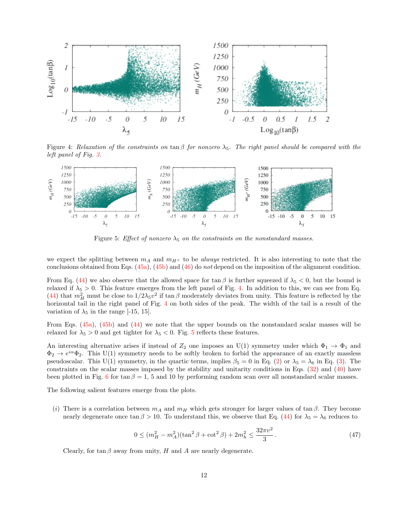

Figure 4: Relaxation of the constraints on tan  $\beta$  for nonzero  $\lambda_5$ . The right panel should be compared with the left panel of Fig. 3.



Figure 5: Effect of nonzero  $\lambda_5$  on the constraints on the nonstandard masses.

we expect the splitting between  $m_A$  and  $m_{H+}$  to be *always* restricted. It is also interesting to note that the conclusions obtained from Eqs.  $(45a)$ ,  $(45b)$  and  $(46)$  do not depend on the imposition of the alignment condition.

From Eq. (44) we also observe that the allowed space for  $\tan \beta$  is further squeezed if  $\lambda_5 < 0$ , but the bound is relaxed if  $\lambda_5 > 0$ . This feature emerges from the left panel of Fig. 4. In addition to this, we can see from Eq. (44) that  $m_H^2$  must be close to  $1/2\lambda_5v^2$  if tan  $\beta$  moderately deviates from unity. This feature is reflected by the horizontal tail in the right panel of Fig. 4 on both sides of the peak. The width of the tail is a result of the variation of  $\lambda_5$  in the range [-15, 15].

From Eqs. (45a), (45b) and (44) we note that the upper bounds on the nonstandard scalar masses will be relaxed for  $\lambda_5 > 0$  and get tighter for  $\lambda_5 < 0$ . Fig. 5 reflects these features.

An interesting alternative arises if instead of  $Z_2$  one imposes an U(1) symmetry under which  $\Phi_1 \to \Phi_1$  and  $\Phi_2 \to e^{i\alpha} \Phi_2$ . This U(1) symmetry needs to be softly broken to forbid the appearance of an exactly massless pseudoscalar. This U(1) symmetry, in the quartic terms, implies  $\beta_5 = 0$  in Eq. (2) or  $\lambda_5 = \lambda_6$  in Eq. (3). The constraints on the scalar masses imposed by the stability and unitarity conditions in Eqs. (32) and (40) have been plotted in Fig. 6 for tan  $\beta = 1$ , 5 and 10 by performing random scan over all nonstandard scalar masses.

The following salient features emerge from the plots.

(i) There is a correlation between  $m_A$  and  $m_H$  which gets stronger for larger values of tan  $\beta$ . They become nearly degenerate once tan  $\beta > 10$ . To understand this, we observe that Eq. (44) for  $\lambda_5 = \lambda_6$  reduces to

$$
0 \le (m_H^2 - m_A^2)(\tan^2 \beta + \cot^2 \beta) + 2m_h^2 \le \frac{32\pi v^2}{3} \,. \tag{47}
$$

Clearly, for tan  $\beta$  away from unity, H and A are nearly degenerate.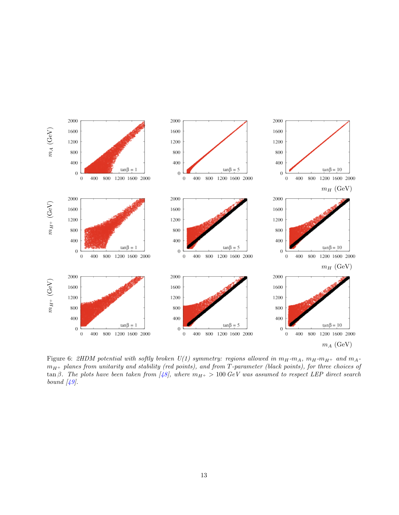

Figure 6: 2HDM potential with softly broken  $U(1)$  symmetry: regions allowed in  $m_H-m_A$ ,  $m_H-m_{H^+}$  and  $m_A$  $m_{H+}$  planes from unitarity and stability (red points), and from T-parameter (black points), for three choices of tan β. The plots have been taken from [48], where  $m_{H^+} > 100 \ GeV$  was assumed to respect LEP direct search bound  $[49]$ .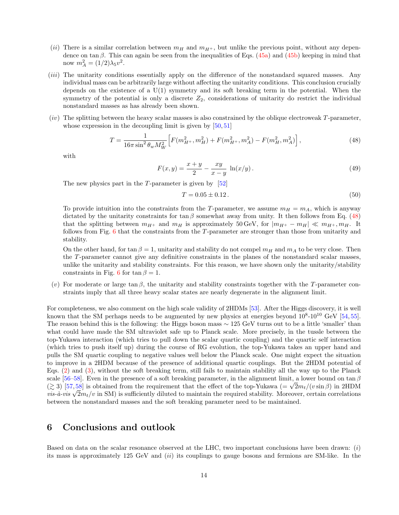- (ii) There is a similar correlation between  $m_H$  and  $m_{H+}$ , but unlike the previous point, without any dependence on tan  $\beta$ . This can again be seen from the inequalities of Eqs. (45a) and (45b) keeping in mind that now  $m_A^2 = (1/2)\lambda_5 v^2$ .
- (iii) The unitarity conditions essentially apply on the difference of the nonstandard squared masses. Any individual mass can be arbitrarily large without affecting the unitarity conditions. This conclusion crucially depends on the existence of a U(1) symmetry and its soft breaking term in the potential. When the symmetry of the potential is only a discrete  $Z_2$ , considerations of unitarity do restrict the individual nonstandard masses as has already been shown.
- (iv) The splitting between the heavy scalar masses is also constrained by the oblique electroweak T-parameter, whose expression in the decoupling limit is given by  $[50, 51]$

$$
T = \frac{1}{16\pi \sin^2 \theta_w M_W^2} \left[ F(m_{H^+}^2, m_H^2) + F(m_{H^+}^2, m_A^2) - F(m_H^2, m_A^2) \right],\tag{48}
$$

with

$$
F(x,y) = \frac{x+y}{2} - \frac{xy}{x-y} \ln(x/y).
$$
 (49)

The new physics part in the  $T$ -parameter is given by [52]

$$
T = 0.05 \pm 0.12. \tag{50}
$$

To provide intuition into the constraints from the T-parameter, we assume  $m_H = m_A$ , which is anyway dictated by the unitarity constraints for  $\tan \beta$  somewhat away from unity. It then follows from Eq. (48) that the splitting between  $m_{H^+}$  and  $m_H$  is approximately 50 GeV, for  $|m_{H^+} - m_H| \ll m_{H^+}, m_H$ . It follows from Fig. 6 that the constraints from the T-parameter are stronger than those from unitarity and stability.

On the other hand, for tan  $\beta = 1$ , unitarity and stability do not compel  $m_H$  and  $m_A$  to be very close. Then the T-parameter cannot give any definitive constraints in the planes of the nonstandard scalar masses, unlike the unitarity and stability constraints. For this reason, we have shown only the unitarity/stability constraints in Fig. 6 for tan  $\beta = 1$ .

(v) For moderate or large tan  $\beta$ , the unitarity and stability constraints together with the T-parameter constraints imply that all three heavy scalar states are nearly degenerate in the alignment limit.

For completeness, we also comment on the high scale validity of 2HDMs [53]. After the Higgs discovery, it is well known that the SM perhaps needs to be augmented by new physics at energies beyond  $10^8$ - $10^{10}$  GeV [54, 55]. The reason behind this is the following: the Higgs boson mass ∼ 125 GeV turns out to be a little 'smaller' than what could have made the SM ultraviolet safe up to Planck scale. More precisely, in the tussle between the top-Yukawa interaction (which tries to pull down the scalar quartic coupling) and the quartic self interaction (which tries to push itself up) during the course of RG evolution, the top-Yukawa takes an upper hand and pulls the SM quartic coupling to negative values well below the Planck scale. One might expect the situation to improve in a 2HDM because of the presence of additional quartic couplings. But the 2HDM potential of Eqs. (2) and (3), without the soft breaking term, still fails to maintain stability all the way up to the Planck scale [56–58]. Even in the presence of a soft breaking parameter, in the alignment limit, a lower bound on tan  $\beta$ ( $\gtrsim$  3) [57,58] is obtained from the requirement that the effect of the top-Yukawa (=  $\sqrt{2}m_t/(v\sin\beta)$  in 2HDM  $\frac{\partial}{\partial x} \partial_{x} \partial_{y}$  is such that the requirement that the enect of the top Tanata ( $\sqrt{2m_t}/(\partial \sin \beta)$  in  $\sin \alpha$ ) is sufficiently diluted to maintain the required stability. Moreover, certain correlations between the nonstandard masses and the soft breaking parameter need to be maintained.

## 6 Conclusions and outlook

Based on data on the scalar resonance observed at the LHC, two important conclusions have been drawn:  $(i)$ its mass is approximately 125 GeV and  $(ii)$  its couplings to gauge bosons and fermions are SM-like. In the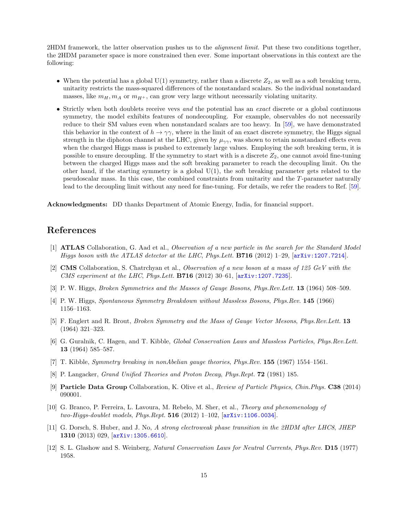2HDM framework, the latter observation pushes us to the *alignment limit*. Put these two conditions together, the 2HDM parameter space is more constrained then ever. Some important observations in this context are the following:

- When the potential has a global  $U(1)$  symmetry, rather than a discrete  $Z_2$ , as well as a soft breaking term, unitarity restricts the mass-squared differences of the nonstandard scalars. So the individual nonstandard masses, like  $m_H, m_A$  or  $m_{H^+}$ , can grow very large without necessarily violating unitarity.
- Strictly when both doublets receive vevs and the potential has an exact discrete or a global continuous symmetry, the model exhibits features of nondecoupling. For example, observables do not necessarily reduce to their SM values even when nonstandard scalars are too heavy. In [59], we have demonstrated this behavior in the context of  $h \to \gamma\gamma$ , where in the limit of an exact discrete symmetry, the Higgs signal strength in the diphoton channel at the LHC, given by  $\mu_{\gamma\gamma}$ , was shown to retain nonstandard effects even when the charged Higgs mass is pushed to extremely large values. Employing the soft breaking term, it is possible to ensure decoupling. If the symmetry to start with is a discrete  $Z_2$ , one cannot avoid fine-tuning between the charged Higgs mass and the soft breaking parameter to reach the decoupling limit. On the other hand, if the starting symmetry is a global  $U(1)$ , the soft breaking parameter gets related to the pseudoscalar mass. In this case, the combined constraints from unitarity and the T-parameter naturally lead to the decoupling limit without any need for fine-tuning. For details, we refer the readers to Ref. [59].

Acknowledgments: DD thanks Department of Atomic Energy, India, for financial support.

# References

- [1] ATLAS Collaboration, G. Aad et al., Observation of a new particle in the search for the Standard Model Higgs boson with the ATLAS detector at the LHC, Phys. Lett. **B716** (2012) 1–29,  $\ar{xiv:1207.7214}$ .
- [2] **CMS** Collaboration, S. Chatrchyan et al., Observation of a new boson at a mass of 125 GeV with the CMS experiment at the LHC, Phys.Lett. **B716** (2012) 30–61,  $\left[$ arXiv:1207.7235 $\right]$ .
- [3] P. W. Higgs, Broken Symmetries and the Masses of Gauge Bosons, Phys.Rev.Lett. 13 (1964) 508–509.
- [4] P. W. Higgs, Spontaneous Symmetry Breakdown without Massless Bosons, Phys.Rev. 145 (1966) 1156–1163.
- [5] F. Englert and R. Brout, Broken Symmetry and the Mass of Gauge Vector Mesons, Phys.Rev.Lett. 13 (1964) 321–323.
- [6] G. Guralnik, C. Hagen, and T. Kibble, Global Conservation Laws and Massless Particles, Phys.Rev.Lett. 13 (1964) 585–587.
- [7] T. Kibble, Symmetry breaking in nonAbelian gauge theories, Phys.Rev. 155 (1967) 1554–1561.
- [8] P. Langacker, Grand Unified Theories and Proton Decay, Phys.Rept. 72 (1981) 185.
- [9] Particle Data Group Collaboration, K. Olive et al., Review of Particle Physics, Chin.Phys. C38 (2014) 090001.
- [10] G. Branco, P. Ferreira, L. Lavoura, M. Rebelo, M. Sher, et al., Theory and phenomenology of two-Higgs-doublet models, Phys.Rept.  $516$  (2012) 1-102,  $[array:1106.0034]$ .
- [11] G. Dorsch, S. Huber, and J. No, A strong electroweak phase transition in the 2HDM after LHC8, JHEP 1310 (2013) 029, [arXiv:1305.6610].
- [12] S. L. Glashow and S. Weinberg, Natural Conservation Laws for Neutral Currents, Phys.Rev. D15 (1977) 1958.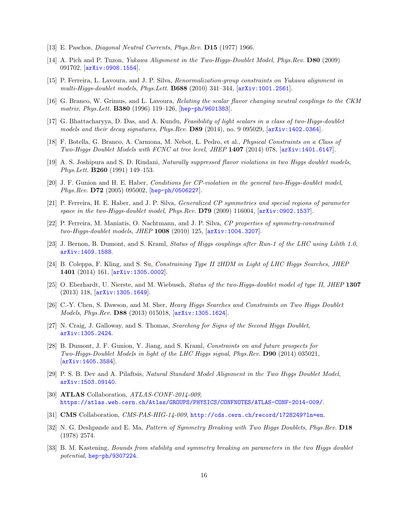- [13] E. Paschos, Diagonal Neutral Currents, Phys.Rev. D15 (1977) 1966.
- [14] A. Pich and P. Tuzon, *Yukawa Alignment in the Two-Higgs-Doublet Model, Phys.Rev.* **D80** (2009) 091702, [arXiv:0908.1554].
- [15] P. Ferreira, L. Lavoura, and J. P. Silva, Renormalization-group constraints on Yukawa alignment in multi-Higgs-doublet models, Phys.Lett. B688  $(2010)$  341–344,  $[arXiv:1001.2561]$ .
- [16] G. Branco, W. Grimus, and L. Lavoura, Relating the scalar flavor changing neutral couplings to the CKM matrix, Phys.Lett. B380 (1996) 119–126, [hep-ph/9601383].
- [17] G. Bhattacharyya, D. Das, and A. Kundu, Feasibility of light scalars in a class of two-Higgs-doublet models and their decay signatures, Phys.Rev. D89 (2014), no. 9 095029, [arXiv:1402.0364].
- [18] F. Botella, G. Branco, A. Carmona, M. Nebot, L. Pedro, et al., Physical Constraints on a Class of Two-Higgs Doublet Models with FCNC at tree level, JHEP 1407 (2014) 078, [arXiv:1401.6147].
- [19] A. S. Joshipura and S. D. Rindani, Naturally suppressed flavor violations in two Higgs doublet models, Phys.Lett. B260 (1991) 149–153.
- [20] J. F. Gunion and H. E. Haber, Conditions for CP-violation in the general two-Higgs-doublet model, Phys.Rev. D72 (2005) 095002, [hep-ph/0506227].
- [21] P. Ferreira, H. E. Haber, and J. P. Silva, Generalized CP symmetries and special regions of parameter space in the two-Higgs-doublet model, Phys.Rev.  $D79$  (2009) 116004, [arXiv:0902.1537].
- [22] P. Ferreira, M. Maniatis, O. Nachtmann, and J. P. Silva, CP properties of symmetry-constrained two-Higgs-doublet models, JHEP 1008 (2010) 125, [arXiv:1004.3207].
- [23] J. Bernon, B. Dumont, and S. Kraml, Status of Higgs couplings after Run-1 of the LHC using Lilith 1.0, arXiv:1409.1588.
- [24] B. Coleppa, F. Kling, and S. Su, Constraining Type II 2HDM in Light of LHC Higgs Searches, JHEP 1401 (2014) 161, [arXiv:1305.0002].
- [25] O. Eberhardt, U. Nierste, and M. Wiebusch, Status of the two-Higgs-doublet model of type II, JHEP 1307 (2013) 118, [arXiv:1305.1649].
- [26] C.-Y. Chen, S. Dawson, and M. Sher, Heavy Higgs Searches and Constraints on Two Higgs Doublet Models, Phys.Rev. D88 (2013) 015018, [arXiv:1305.1624].
- [27] N. Craig, J. Galloway, and S. Thomas, Searching for Signs of the Second Higgs Doublet, arXiv:1305.2424.
- [28] B. Dumont, J. F. Gunion, Y. Jiang, and S. Kraml, Constraints on and future prospects for Two-Higgs-Doublet Models in light of the LHC Higgs signal, Phys.Rev. D90 (2014) 035021, [arXiv:1405.3584].
- [29] P. S. B. Dev and A. Pilaftsis, Natural Standard Model Alignment in the Two Higgs Doublet Model, arXiv:1503.09140.
- [30] **ATLAS** Collaboration, *ATLAS-CONF-2014-009*, https://atlas.web.cern.ch/Atlas/GROUPS/PHYSICS/CONFNOTES/ATLAS-CONF-2014-009/.
- [31] CMS Collaboration, CMS-PAS-HIG-14-009, http://cds.cern.ch/record/1728249?ln=en.
- [32] N. G. Deshpande and E. Ma, Pattern of Symmetry Breaking with Two Higgs Doublets, Phys.Rev. D18 (1978) 2574.
- [33] B. M. Kastening, Bounds from stability and symmetry breaking on parameters in the two Higgs doublet potential, hep-ph/9307224.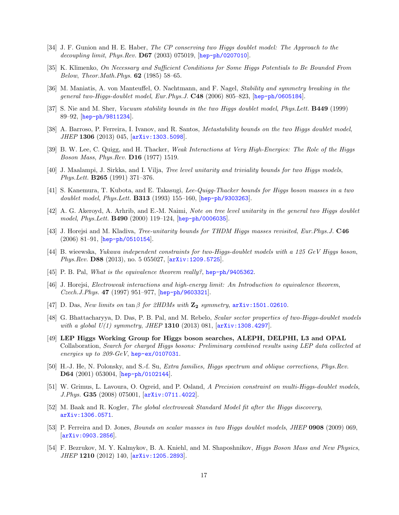- [34] J. F. Gunion and H. E. Haber, The CP conserving two Higgs doublet model: The Approach to the decoupling limit, Phys.Rev. D67 (2003) 075019, [hep-ph/0207010].
- [35] K. Klimenko, On Necessary and Sufficient Conditions for Some Higgs Potentials to Be Bounded From Below, Theor.Math.Phys. 62 (1985) 58–65.
- [36] M. Maniatis, A. von Manteuffel, O. Nachtmann, and F. Nagel, Stability and symmetry breaking in the general two-Higgs-doublet model, Eur.Phys.J. C48 (2006) 805–823, [hep-ph/0605184].
- [37] S. Nie and M. Sher, Vacuum stability bounds in the two Higgs doublet model, Phys.Lett. B449 (1999) 89–92, [hep-ph/9811234].
- [38] A. Barroso, P. Ferreira, I. Ivanov, and R. Santos, *Metastability bounds on the two Higgs doublet model*, JHEP 1306 (2013) 045, [arXiv:1303.5098].
- [39] B. W. Lee, C. Quigg, and H. Thacker, Weak Interactions at Very High-Energies: The Role of the Higgs Boson Mass, Phys.Rev. D16 (1977) 1519.
- [40] J. Maalampi, J. Sirkka, and I. Vilja, Tree level unitarity and triviality bounds for two Higgs models, Phys.Lett. B265 (1991) 371–376.
- [41] S. Kanemura, T. Kubota, and E. Takasugi, Lee-Quigg-Thacker bounds for Higgs boson masses in a two doublet model, Phys.Lett. **B313** (1993) 155–160,  $[hep-ph/9303263]$ .
- [42] A. G. Akeroyd, A. Arhrib, and E.-M. Naimi, Note on tree level unitarity in the general two Higgs doublet model, Phys.Lett. B490 (2000) 119–124, [hep-ph/0006035].
- [43] J. Horejsi and M. Kladiva, *Tree-unitarity bounds for THDM Higgs masses revisited, Eur.Phys.J.* **C46** (2006) 81–91, [hep-ph/0510154].
- [44] B. wieewska, Yukawa independent constraints for two-Higgs-doublet models with a 125 GeV Higgs boson, Phys.Rev. D88 (2013), no. 5 055027, [arXiv:1209.5725].
- [45] P. B. Pal, What is the equivalence theorem really?, hep-ph/9405362.
- [46] J. Horejsi, Electroweak interactions and high-energy limit: An Introduction to equivalence theorem, Czech.J.Phys. 47 (1997) 951–977, [hep-ph/9603321].
- [47] D. Das, New limits on tan  $\beta$  for 2HDMs with  $\mathbb{Z}_2$  symmetry, arXiv:1501.02610.
- [48] G. Bhattacharyya, D. Das, P. B. Pal, and M. Rebelo, Scalar sector properties of two-Higgs-doublet models with a global  $U(1)$  symmetry, JHEP 1310 (2013) 081,  $[\text{arXiv}:1308.4297]$ .
- [49] LEP Higgs Working Group for Higgs boson searches, ALEPH, DELPHI, L3 and OPAL Collaboration, Search for charged Higgs bosons: Preliminary combined results using LEP data collected at energies up to 209-GeV, hep-ex/0107031.
- [50] H.-J. He, N. Polonsky, and S.-f. Su, Extra families, Higgs spectrum and oblique corrections, Phys.Rev. D64 (2001) 053004, [hep-ph/0102144].
- [51] W. Grimus, L. Lavoura, O. Ogreid, and P. Osland, A Precision constraint on multi-Higgs-doublet models, J.Phys. G35 (2008) 075001, [arXiv:0711.4022].
- [52] M. Baak and R. Kogler, The global electroweak Standard Model fit after the Higgs discovery, arXiv:1306.0571.
- [53] P. Ferreira and D. Jones, Bounds on scalar masses in two Higgs doublet models, JHEP 0908 (2009) 069,  $\vert$ arXiv:0903.2856.
- [54] F. Bezrukov, M. Y. Kalmykov, B. A. Kniehl, and M. Shaposhnikov, Higgs Boson Mass and New Physics, JHEP 1210 (2012) 140, [arXiv:1205.2893].